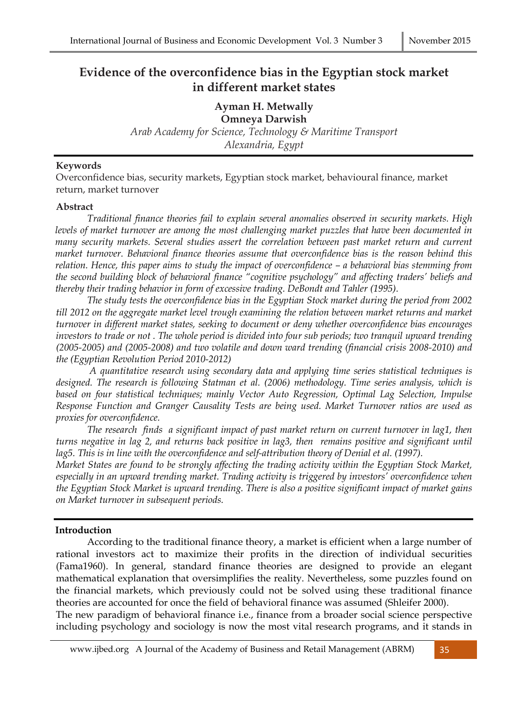# **Evidence of the overconfidence bias in the Egyptian stock market in different market states**

**Ayman H. Metwally** 

**Omneya Darwish**  *Arab Academy for Science, Technology & Maritime Transport Alexandria, Egypt* 

### **Keywords**

Overconfidence bias, security markets, Egyptian stock market, behavioural finance, market return, market turnover

#### **Abstract**

*Traditional finance theories fail to explain several anomalies observed in security markets. High levels of market turnover are among the most challenging market puzzles that have been documented in many security markets. Several studies assert the correlation between past market return and current market turnover. Behavioral finance theories assume that overconfidence bias is the reason behind this relation. Hence, this paper aims to study the impact of overconfidence – a behavioral bias stemming from the second building block of behavioral finance "cognitive psychology" and affecting traders' beliefs and thereby their trading behavior in form of excessive trading. DeBondt and Tahler (1995).* 

*The study tests the overconfidence bias in the Egyptian Stock market during the period from 2002 till 2012 on the aggregate market level trough examining the relation between market returns and market turnover in different market states, seeking to document or deny whether overconfidence bias encourages investors to trade or not . The whole period is divided into four sub periods; two tranquil upward trending (2005-2005) and (2005-2008) and two volatile and down ward trending (financial crisis 2008-2010) and the (Egyptian Revolution Period 2010-2012)* 

 *A quantitative research using secondary data and applying time series statistical techniques is designed. The research is following Statman et al. (2006) methodology. Time series analysis, which is based on four statistical techniques; mainly Vector Auto Regression, Optimal Lag Selection, Impulse Response Function and Granger Causality Tests are being used. Market Turnover ratios are used as proxies for overconfidence.* 

*The research finds a significant impact of past market return on current turnover in lag1, then turns negative in lag 2, and returns back positive in lag3, then remains positive and significant until*  lag5. This is in line with the overconfidence and self-attribution theory of Denial et al. (1997).

*Market States are found to be strongly affecting the trading activity within the Egyptian Stock Market, especially in an upward trending market. Trading activity is triggered by investors' overconfidence when the Egyptian Stock Market is upward trending. There is also a positive significant impact of market gains on Market turnover in subsequent periods.* 

#### **Introduction**

According to the traditional finance theory, a market is efficient when a large number of rational investors act to maximize their profits in the direction of individual securities (Fama1960). In general, standard finance theories are designed to provide an elegant mathematical explanation that oversimplifies the reality. Nevertheless, some puzzles found on the financial markets, which previously could not be solved using these traditional finance theories are accounted for once the field of behavioral finance was assumed (Shleifer 2000). The new paradigm of behavioral finance i.e., finance from a broader social science perspective

including psychology and sociology is now the most vital research programs, and it stands in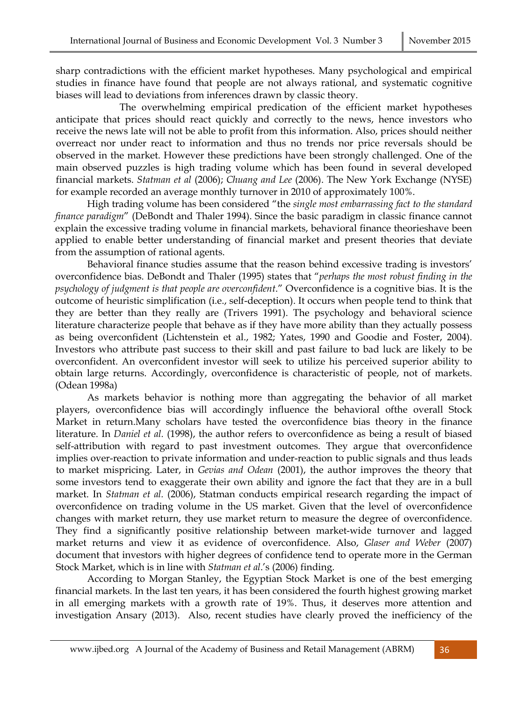sharp contradictions with the efficient market hypotheses. Many psychological and empirical studies in finance have found that people are not always rational, and systematic cognitive biases will lead to deviations from inferences drawn by classic theory.

 The overwhelming empirical predication of the efficient market hypotheses anticipate that prices should react quickly and correctly to the news, hence investors who receive the news late will not be able to profit from this information. Also, prices should neither overreact nor under react to information and thus no trends nor price reversals should be observed in the market. However these predictions have been strongly challenged. One of the main observed puzzles is high trading volume which has been found in several developed financial markets. *Statman et al* (2006); *Chuang and Lee* (2006). The New York Exchange (NYSE) for example recorded an average monthly turnover in 2010 of approximately 100%.

High trading volume has been considered "the *single most embarrassing fact to the standard finance paradigm*" (DeBondt and Thaler 1994). Since the basic paradigm in classic finance cannot explain the excessive trading volume in financial markets, behavioral finance theorieshave been applied to enable better understanding of financial market and present theories that deviate from the assumption of rational agents.

Behavioral finance studies assume that the reason behind excessive trading is investors' overconfidence bias. DeBondt and Thaler (1995) states that "*perhaps the most robust finding in the psychology of judgment is that people are overconfident*." Overconfidence is a cognitive bias. It is the outcome of heuristic simplification (i.e., self-deception). It occurs when people tend to think that they are better than they really are (Trivers 1991). The psychology and behavioral science literature characterize people that behave as if they have more ability than they actually possess as being overconfident (Lichtenstein et al., 1982; Yates, 1990 and Goodie and Foster, 2004). Investors who attribute past success to their skill and past failure to bad luck are likely to be overconfident. An overconfident investor will seek to utilize his perceived superior ability to obtain large returns. Accordingly, overconfidence is characteristic of people, not of markets. (Odean 1998a)

As markets behavior is nothing more than aggregating the behavior of all market players, overconfidence bias will accordingly influence the behavioral ofthe overall Stock Market in return.Many scholars have tested the overconfidence bias theory in the finance literature. In *Daniel et al.* (1998), the author refers to overconfidence as being a result of biased self-attribution with regard to past investment outcomes. They argue that overconfidence implies over-reaction to private information and under-reaction to public signals and thus leads to market mispricing. Later, in *Gevias and Odean* (2001), the author improves the theory that some investors tend to exaggerate their own ability and ignore the fact that they are in a bull market. In *Statman et al.* (2006), Statman conducts empirical research regarding the impact of overconfidence on trading volume in the US market. Given that the level of overconfidence changes with market return, they use market return to measure the degree of overconfidence. They find a significantly positive relationship between market-wide turnover and lagged market returns and view it as evidence of overconfidence. Also, *Glaser and Weber* (2007) document that investors with higher degrees of confidence tend to operate more in the German Stock Market, which is in line with *Statman et al*.'s (2006) finding.

According to Morgan Stanley, the Egyptian Stock Market is one of the best emerging financial markets. In the last ten years, it has been considered the fourth highest growing market in all emerging markets with a growth rate of 19%. Thus, it deserves more attention and investigation Ansary (2013). Also, recent studies have clearly proved the inefficiency of the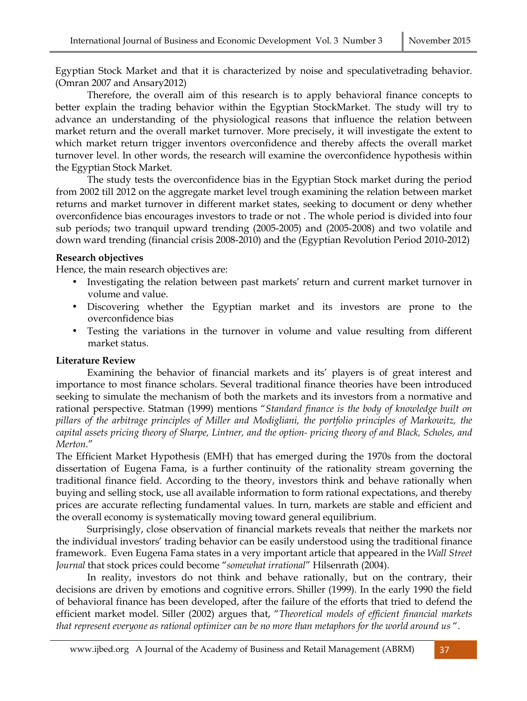Egyptian Stock Market and that it is characterized by noise and speculativetrading behavior. (Omran 2007 and Ansary2012)

Therefore, the overall aim of this research is to apply behavioral finance concepts to better explain the trading behavior within the Egyptian StockMarket. The study will try to advance an understanding of the physiological reasons that influence the relation between market return and the overall market turnover. More precisely, it will investigate the extent to which market return trigger inventors overconfidence and thereby affects the overall market turnover level. In other words, the research will examine the overconfidence hypothesis within the Egyptian Stock Market.

The study tests the overconfidence bias in the Egyptian Stock market during the period from 2002 till 2012 on the aggregate market level trough examining the relation between market returns and market turnover in different market states, seeking to document or deny whether overconfidence bias encourages investors to trade or not . The whole period is divided into four sub periods; two tranquil upward trending (2005-2005) and (2005-2008) and two volatile and down ward trending (financial crisis 2008-2010) and the (Egyptian Revolution Period 2010-2012)

### **Research objectives**

Hence, the main research objectives are:

- Investigating the relation between past markets' return and current market turnover in volume and value.
- Discovering whether the Egyptian market and its investors are prone to the overconfidence bias
- Testing the variations in the turnover in volume and value resulting from different market status.

### **Literature Review**

Examining the behavior of financial markets and its' players is of great interest and importance to most finance scholars. Several traditional finance theories have been introduced seeking to simulate the mechanism of both the markets and its investors from a normative and rational perspective. Statman (1999) mentions "*Standard finance is the body of knowledge built on pillars of the arbitrage principles of Miller and Modigliani, the portfolio principles of Markowitz, the capital assets pricing theory of Sharpe, Lintner, and the option- pricing theory of and Black, Scholes, and Merton*."

The Efficient Market Hypothesis (EMH) that has emerged during the 1970s from the doctoral dissertation of Eugena Fama, is a further continuity of the rationality stream governing the traditional finance field. According to the theory, investors think and behave rationally when buying and selling stock, use all available information to form rational expectations, and thereby prices are accurate reflecting fundamental values. In turn, markets are stable and efficient and the overall economy is systematically moving toward general equilibrium.

Surprisingly, close observation of financial markets reveals that neither the markets nor the individual investors' trading behavior can be easily understood using the traditional finance framework. Even Eugena Fama states in a very important article that appeared in the *Wall Street Journal* that stock prices could become "*somewhat irrational*" Hilsenrath (2004).

In reality, investors do not think and behave rationally, but on the contrary, their decisions are driven by emotions and cognitive errors. Shiller (1999). In the early 1990 the field of behavioral finance has been developed, after the failure of the efforts that tried to defend the efficient market model. Siller (2002) argues that, "*Theoretical models of efficient financial markets that represent everyone as rational optimizer can be no more than metaphors for the world around us* ".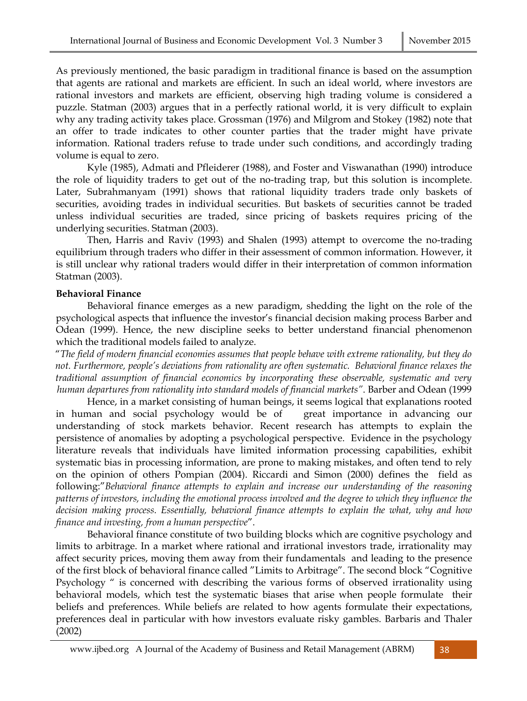As previously mentioned, the basic paradigm in traditional finance is based on the assumption that agents are rational and markets are efficient. In such an ideal world, where investors are rational investors and markets are efficient, observing high trading volume is considered a puzzle. Statman (2003) argues that in a perfectly rational world, it is very difficult to explain why any trading activity takes place. Grossman (1976) and Milgrom and Stokey (1982) note that an offer to trade indicates to other counter parties that the trader might have private information. Rational traders refuse to trade under such conditions, and accordingly trading volume is equal to zero.

Kyle (1985), Admati and Pfleiderer (1988), and Foster and Viswanathan (1990) introduce the role of liquidity traders to get out of the no-trading trap, but this solution is incomplete. Later, Subrahmanyam (1991) shows that rational liquidity traders trade only baskets of securities, avoiding trades in individual securities. But baskets of securities cannot be traded unless individual securities are traded, since pricing of baskets requires pricing of the underlying securities. Statman (2003).

Then, Harris and Raviv (1993) and Shalen (1993) attempt to overcome the no-trading equilibrium through traders who differ in their assessment of common information. However, it is still unclear why rational traders would differ in their interpretation of common information Statman (2003).

#### **Behavioral Finance**

Behavioral finance emerges as a new paradigm, shedding the light on the role of the psychological aspects that influence the investor's financial decision making process Barber and Odean (1999). Hence, the new discipline seeks to better understand financial phenomenon which the traditional models failed to analyze.

"*The field of modern financial economies assumes that people behave with extreme rationality, but they do not. Furthermore, people's deviations from rationality are often systematic. Behavioral finance relaxes the traditional assumption of financial economics by incorporating these observable, systematic and very human departures from rationality into standard models of financial markets"*. Barber and Odean (1999

Hence, in a market consisting of human beings, it seems logical that explanations rooted in human and social psychology would be of great importance in advancing our understanding of stock markets behavior. Recent research has attempts to explain the persistence of anomalies by adopting a psychological perspective. Evidence in the psychology literature reveals that individuals have limited information processing capabilities, exhibit systematic bias in processing information, are prone to making mistakes, and often tend to rely on the opinion of others Pompian (2004). Riccardi and Simon (2000) defines the field as following:"*Behavioral finance attempts to explain and increase our understanding of the reasoning patterns of investors, including the emotional process involved and the degree to which they influence the decision making process. Essentially, behavioral finance attempts to explain the what, why and how finance and investing, from a human perspective*".

Behavioral finance constitute of two building blocks which are cognitive psychology and limits to arbitrage. In a market where rational and irrational investors trade, irrationality may affect security prices, moving them away from their fundamentals and leading to the presence of the first block of behavioral finance called "Limits to Arbitrage". The second block "Cognitive Psychology " is concerned with describing the various forms of observed irrationality using behavioral models, which test the systematic biases that arise when people formulate their beliefs and preferences. While beliefs are related to how agents formulate their expectations, preferences deal in particular with how investors evaluate risky gambles. Barbaris and Thaler (2002)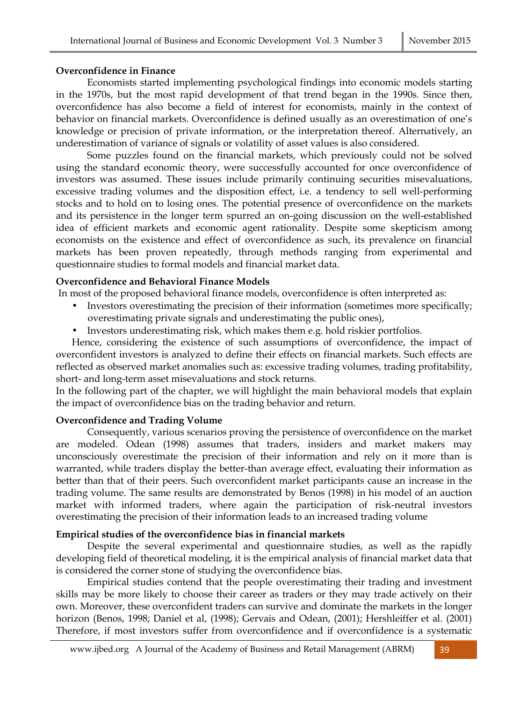#### **Overconfidence in Finance**

Economists started implementing psychological findings into economic models starting in the 1970s, but the most rapid development of that trend began in the 1990s. Since then, overconfidence has also become a field of interest for economists, mainly in the context of behavior on financial markets. Overconfidence is defined usually as an overestimation of one's knowledge or precision of private information, or the interpretation thereof. Alternatively, an underestimation of variance of signals or volatility of asset values is also considered.

Some puzzles found on the financial markets, which previously could not be solved using the standard economic theory, were successfully accounted for once overconfidence of investors was assumed. These issues include primarily continuing securities misevaluations, excessive trading volumes and the disposition effect, i.e. a tendency to sell well-performing stocks and to hold on to losing ones. The potential presence of overconfidence on the markets and its persistence in the longer term spurred an on-going discussion on the well-established idea of efficient markets and economic agent rationality. Despite some skepticism among economists on the existence and effect of overconfidence as such, its prevalence on financial markets has been proven repeatedly, through methods ranging from experimental and questionnaire studies to formal models and financial market data.

### **Overconfidence and Behavioral Finance Models**

In most of the proposed behavioral finance models, overconfidence is often interpreted as:

- Investors overestimating the precision of their information (sometimes more specifically; overestimating private signals and underestimating the public ones),
- Investors underestimating risk, which makes them e.g. hold riskier portfolios.

Hence, considering the existence of such assumptions of overconfidence, the impact of overconfident investors is analyzed to define their effects on financial markets. Such effects are reflected as observed market anomalies such as: excessive trading volumes, trading profitability, short- and long-term asset misevaluations and stock returns.

In the following part of the chapter, we will highlight the main behavioral models that explain the impact of overconfidence bias on the trading behavior and return.

### **Overconfidence and Trading Volume**

Consequently, various scenarios proving the persistence of overconfidence on the market are modeled. Odean (1998) assumes that traders, insiders and market makers may unconsciously overestimate the precision of their information and rely on it more than is warranted, while traders display the better-than average effect, evaluating their information as better than that of their peers. Such overconfident market participants cause an increase in the trading volume. The same results are demonstrated by Benos (1998) in his model of an auction market with informed traders, where again the participation of risk-neutral investors overestimating the precision of their information leads to an increased trading volume

### **Empirical studies of the overconfidence bias in financial markets**

Despite the several experimental and questionnaire studies, as well as the rapidly developing field of theoretical modeling, it is the empirical analysis of financial market data that is considered the corner stone of studying the overconfidence bias.

Empirical studies contend that the people overestimating their trading and investment skills may be more likely to choose their career as traders or they may trade actively on their own. Moreover, these overconfident traders can survive and dominate the markets in the longer horizon (Benos, 1998; Daniel et al, (1998); Gervais and Odean, (2001); Hershleiffer et al. (2001) Therefore, if most investors suffer from overconfidence and if overconfidence is a systematic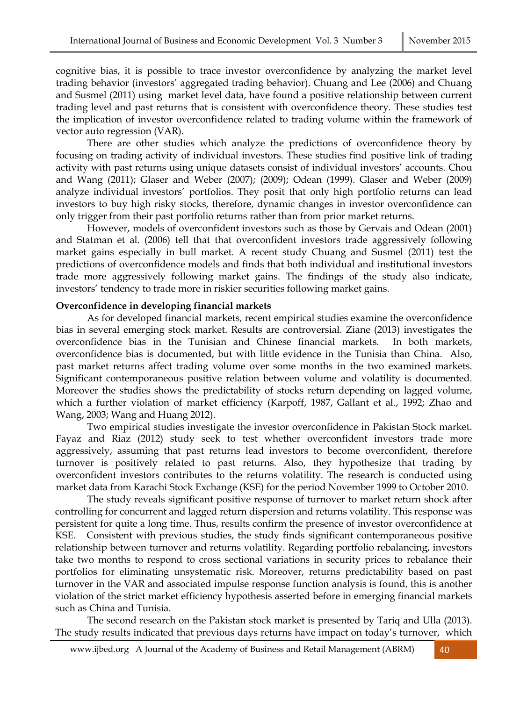cognitive bias, it is possible to trace investor overconfidence by analyzing the market level trading behavior (investors' aggregated trading behavior). Chuang and Lee (2006) and Chuang and Susmel (2011) using market level data, have found a positive relationship between current trading level and past returns that is consistent with overconfidence theory. These studies test the implication of investor overconfidence related to trading volume within the framework of vector auto regression (VAR).

There are other studies which analyze the predictions of overconfidence theory by focusing on trading activity of individual investors. These studies find positive link of trading activity with past returns using unique datasets consist of individual investors' accounts. Chou and Wang (2011); Glaser and Weber (2007); (2009); Odean (1999). Glaser and Weber (2009) analyze individual investors' portfolios. They posit that only high portfolio returns can lead investors to buy high risky stocks, therefore, dynamic changes in investor overconfidence can only trigger from their past portfolio returns rather than from prior market returns.

 However, models of overconfident investors such as those by Gervais and Odean (2001) and Statman et al. (2006) tell that that overconfident investors trade aggressively following market gains especially in bull market. A recent study Chuang and Susmel (2011) test the predictions of overconfidence models and finds that both individual and institutional investors trade more aggressively following market gains. The findings of the study also indicate, investors' tendency to trade more in riskier securities following market gains.

#### **Overconfidence in developing financial markets**

As for developed financial markets, recent empirical studies examine the overconfidence bias in several emerging stock market. Results are controversial. Ziane (2013) investigates the overconfidence bias in the Tunisian and Chinese financial markets. In both markets, overconfidence bias is documented, but with little evidence in the Tunisia than China. Also, past market returns affect trading volume over some months in the two examined markets. Significant contemporaneous positive relation between volume and volatility is documented. Moreover the studies shows the predictability of stocks return depending on lagged volume, which a further violation of market efficiency (Karpoff, 1987, Gallant et al., 1992; Zhao and Wang, 2003; Wang and Huang 2012).

Two empirical studies investigate the investor overconfidence in Pakistan Stock market. Fayaz and Riaz (2012) study seek to test whether overconfident investors trade more aggressively, assuming that past returns lead investors to become overconfident, therefore turnover is positively related to past returns. Also, they hypothesize that trading by overconfident investors contributes to the returns volatility. The research is conducted using market data from Karachi Stock Exchange (KSE) for the period November 1999 to October 2010.

The study reveals significant positive response of turnover to market return shock after controlling for concurrent and lagged return dispersion and returns volatility. This response was persistent for quite a long time. Thus, results confirm the presence of investor overconfidence at KSE. Consistent with previous studies, the study finds significant contemporaneous positive relationship between turnover and returns volatility. Regarding portfolio rebalancing, investors take two months to respond to cross sectional variations in security prices to rebalance their portfolios for eliminating unsystematic risk. Moreover, returns predictability based on past turnover in the VAR and associated impulse response function analysis is found, this is another violation of the strict market efficiency hypothesis asserted before in emerging financial markets such as China and Tunisia.

The second research on the Pakistan stock market is presented by Tariq and Ulla (2013). The study results indicated that previous days returns have impact on today's turnover, which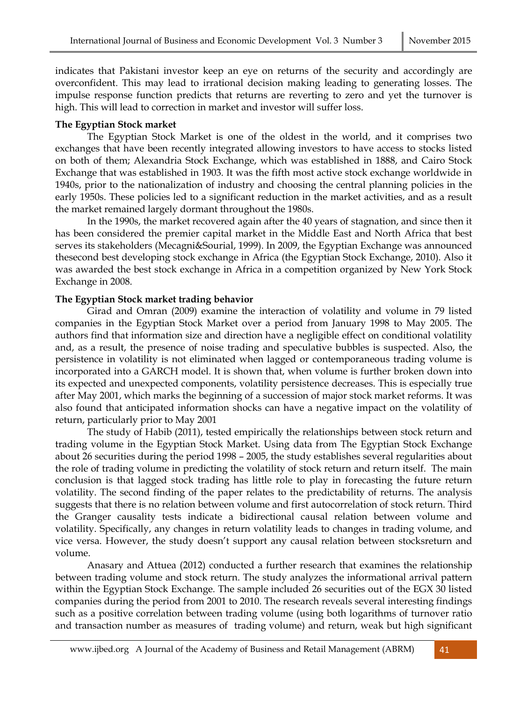indicates that Pakistani investor keep an eye on returns of the security and accordingly are overconfident. This may lead to irrational decision making leading to generating losses. The impulse response function predicts that returns are reverting to zero and yet the turnover is high. This will lead to correction in market and investor will suffer loss.

#### **The Egyptian Stock market**

The Egyptian Stock Market is one of the oldest in the world, and it comprises two exchanges that have been recently integrated allowing investors to have access to stocks listed on both of them; Alexandria Stock Exchange, which was established in 1888, and Cairo Stock Exchange that was established in 1903. It was the fifth most active stock exchange worldwide in 1940s, prior to the nationalization of industry and choosing the central planning policies in the early 1950s. These policies led to a significant reduction in the market activities, and as a result the market remained largely dormant throughout the 1980s.

In the 1990s, the market recovered again after the 40 years of stagnation, and since then it has been considered the premier capital market in the Middle East and North Africa that best serves its stakeholders (Mecagni&Sourial, 1999). In 2009, the Egyptian Exchange was announced thesecond best developing stock exchange in Africa (the Egyptian Stock Exchange, 2010). Also it was awarded the best stock exchange in Africa in a competition organized by New York Stock Exchange in 2008.

#### **The Egyptian Stock market trading behavior**

Girad and Omran (2009) examine the interaction of volatility and volume in 79 listed companies in the Egyptian Stock Market over a period from January 1998 to May 2005. The authors find that information size and direction have a negligible effect on conditional volatility and, as a result, the presence of noise trading and speculative bubbles is suspected. Also, the persistence in volatility is not eliminated when lagged or contemporaneous trading volume is incorporated into a GARCH model. It is shown that, when volume is further broken down into its expected and unexpected components, volatility persistence decreases. This is especially true after May 2001, which marks the beginning of a succession of major stock market reforms. It was also found that anticipated information shocks can have a negative impact on the volatility of return, particularly prior to May 2001

The study of Habib (2011), tested empirically the relationships between stock return and trading volume in the Egyptian Stock Market. Using data from The Egyptian Stock Exchange about 26 securities during the period 1998 – 2005, the study establishes several regularities about the role of trading volume in predicting the volatility of stock return and return itself. The main conclusion is that lagged stock trading has little role to play in forecasting the future return volatility. The second finding of the paper relates to the predictability of returns. The analysis suggests that there is no relation between volume and first autocorrelation of stock return. Third the Granger causality tests indicate a bidirectional causal relation between volume and volatility. Specifically, any changes in return volatility leads to changes in trading volume, and vice versa. However, the study doesn't support any causal relation between stocksreturn and volume.

Anasary and Attuea (2012) conducted a further research that examines the relationship between trading volume and stock return. The study analyzes the informational arrival pattern within the Egyptian Stock Exchange. The sample included 26 securities out of the EGX 30 listed companies during the period from 2001 to 2010. The research reveals several interesting findings such as a positive correlation between trading volume (using both logarithms of turnover ratio and transaction number as measures of trading volume) and return, weak but high significant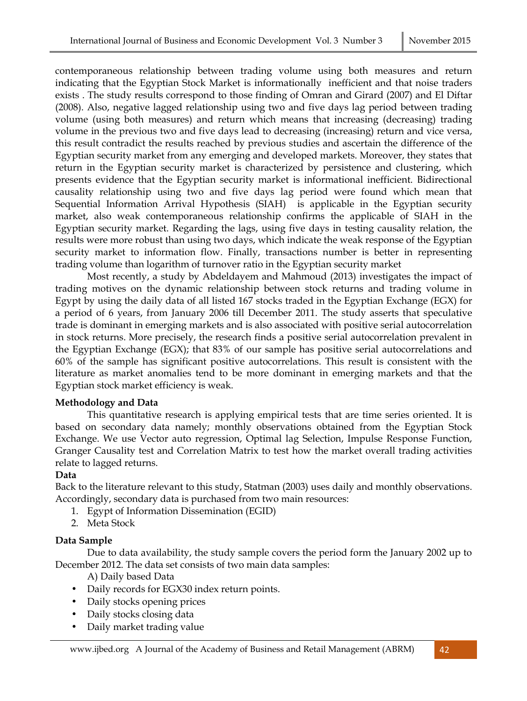contemporaneous relationship between trading volume using both measures and return indicating that the Egyptian Stock Market is informationally inefficient and that noise traders exists . The study results correspond to those finding of Omran and Girard (2007) and El Diftar (2008). Also, negative lagged relationship using two and five days lag period between trading volume (using both measures) and return which means that increasing (decreasing) trading volume in the previous two and five days lead to decreasing (increasing) return and vice versa, this result contradict the results reached by previous studies and ascertain the difference of the Egyptian security market from any emerging and developed markets. Moreover, they states that return in the Egyptian security market is characterized by persistence and clustering, which presents evidence that the Egyptian security market is informational inefficient. Bidirectional causality relationship using two and five days lag period were found which mean that Sequential Information Arrival Hypothesis (SIAH) is applicable in the Egyptian security market, also weak contemporaneous relationship confirms the applicable of SIAH in the Egyptian security market. Regarding the lags, using five days in testing causality relation, the results were more robust than using two days, which indicate the weak response of the Egyptian security market to information flow. Finally, transactions number is better in representing trading volume than logarithm of turnover ratio in the Egyptian security market

Most recently, a study by Abdeldayem and Mahmoud (2013) investigates the impact of trading motives on the dynamic relationship between stock returns and trading volume in Egypt by using the daily data of all listed 167 stocks traded in the Egyptian Exchange (EGX) for a period of 6 years, from January 2006 till December 2011. The study asserts that speculative trade is dominant in emerging markets and is also associated with positive serial autocorrelation in stock returns. More precisely, the research finds a positive serial autocorrelation prevalent in the Egyptian Exchange (EGX); that 83% of our sample has positive serial autocorrelations and 60% of the sample has significant positive autocorrelations. This result is consistent with the literature as market anomalies tend to be more dominant in emerging markets and that the Egyptian stock market efficiency is weak.

### **Methodology and Data**

This quantitative research is applying empirical tests that are time series oriented. It is based on secondary data namely; monthly observations obtained from the Egyptian Stock Exchange. We use Vector auto regression, Optimal lag Selection, Impulse Response Function, Granger Causality test and Correlation Matrix to test how the market overall trading activities relate to lagged returns.

### **Data**

Back to the literature relevant to this study, Statman (2003) uses daily and monthly observations. Accordingly, secondary data is purchased from two main resources:

- 1. Egypt of Information Dissemination (EGID)
- 2. Meta Stock

### **Data Sample**

Due to data availability, the study sample covers the period form the January 2002 up to December 2012. The data set consists of two main data samples:

A) Daily based Data

- Daily records for EGX30 index return points.
- Daily stocks opening prices
- Daily stocks closing data
- Daily market trading value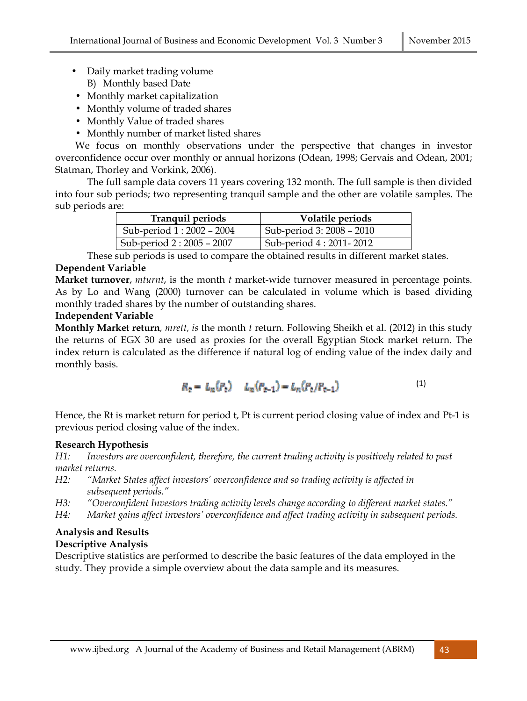- Daily market trading volume B) Monthly based Date
- Monthly market capitalization
- Monthly volume of traded shares
- Monthly Value of traded shares
- Monthly number of market listed shares

We focus on monthly observations under the perspective that changes in investor overconfidence occur over monthly or annual horizons (Odean, 1998; Gervais and Odean, 2001; Statman, Thorley and Vorkink, 2006).

The full sample data covers 11 years covering 132 month. The full sample is then divided into four sub periods; two representing tranquil sample and the other are volatile samples. The sub periods are:

| <b>Tranquil periods</b>  | Volatile periods           |
|--------------------------|----------------------------|
| Sub-period 1:2002 - 2004 | Sub-period 3: 2008 – 2010  |
| Sub-period 2:2005 - 2007 | Sub-period 4 : 2011 - 2012 |

These sub periods is used to compare the obtained results in different market states.

# **Dependent Variable**

**Market turnover**, *mturnt*, is the month *t* market-wide turnover measured in percentage points. As by Lo and Wang (2000) turnover can be calculated in volume which is based dividing monthly traded shares by the number of outstanding shares.

### **Independent Variable**

**Monthly Market return***, mrett, is* the month *t* return. Following Sheikh et al. (2012) in this study the returns of EGX 30 are used as proxies for the overall Egyptian Stock market return. The index return is calculated as the difference if natural log of ending value of the index daily and monthly basis.

$$
R_2 = L_n(P_2) - L_n(P_{2-1}) = L_n(P_2/P_{2-1})
$$
\n(1)

Hence, the Rt is market return for period t, Pt is current period closing value of index and Pt-1 is previous period closing value of the index.

### **Research Hypothesis**

*H1: Investors are overconfident, therefore, the current trading activity is positively related to past market returns.* 

- *H2: "Market States affect investors' overconfidence and so trading activity is affected in subsequent periods."*
- *H3: "Overconfident Investors trading activity levels change according to different market states."*
- *H4: Market gains affect investors' overconfidence and affect trading activity in subsequent periods.*

#### **Analysis and Results Descriptive Analysis**

Descriptive statistics are performed to describe the basic features of the data employed in the study. They provide a simple overview about the data sample and its measures.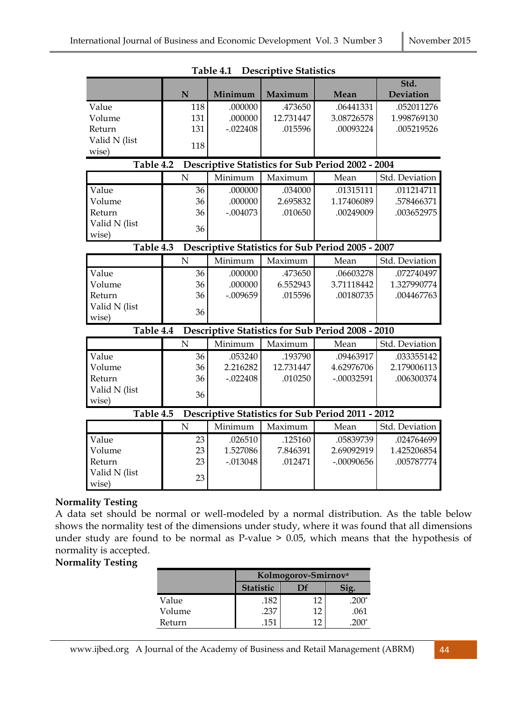|                                                                       |                | LUVIL 1,1  | D COCHPHY C OMMONCO |                                                          |                   |
|-----------------------------------------------------------------------|----------------|------------|---------------------|----------------------------------------------------------|-------------------|
|                                                                       | N              | Minimum    | Maximum             | Mean                                                     | Std.<br>Deviation |
| Value                                                                 | 118            | .000000    | .473650             | .06441331                                                | .052011276        |
| Volume                                                                | 131            | .000000    | 12.731447           | 3.08726578                                               | 1.998769130       |
| Return                                                                | 131            | $-.022408$ | .015596             | .00093224                                                | .005219526        |
| Valid N (list                                                         |                |            |                     |                                                          |                   |
| wise)                                                                 | 118            |            |                     |                                                          |                   |
|                                                                       |                |            |                     |                                                          |                   |
| Table 4.2                                                             |                |            |                     | Descriptive Statistics for Sub Period 2002 - 2004        |                   |
|                                                                       | N              | Minimum    | Maximum             | Mean                                                     | Std. Deviation    |
| Value                                                                 | 36             | .000000    | .034000             | .01315111                                                | .011214711        |
| Volume                                                                | 36             | .000000    | 2.695832            | 1.17406089                                               | .578466371        |
| Return                                                                | 36             | $-.004073$ | .010650             | .00249009                                                | .003652975        |
| Valid N (list                                                         |                |            |                     |                                                          |                   |
| wise)                                                                 | 36             |            |                     |                                                          |                   |
| Table 4.3                                                             |                |            |                     | Descriptive Statistics for Sub Period 2005 - 2007        |                   |
|                                                                       | $\overline{N}$ | Minimum    | Maximum             | Mean                                                     | Std. Deviation    |
| Value                                                                 | 36             | .000000    | .473650             | .06603278                                                | .072740497        |
| Volume                                                                | 36             | .000000    | 6.552943            | 3.71118442                                               | 1.327990774       |
| Return                                                                | 36             | $-.009659$ | .015596             | .00180735                                                | .004467763        |
| Valid N (list                                                         | 36             |            |                     |                                                          |                   |
| wise)                                                                 |                |            |                     |                                                          |                   |
| Table 4.4                                                             |                |            |                     | <b>Descriptive Statistics for Sub Period 2008 - 2010</b> |                   |
|                                                                       | $\overline{N}$ | Minimum    | Maximum             | Mean                                                     | Std. Deviation    |
| Value                                                                 | 36             | .053240    | .193790             | .09463917                                                | .033355142        |
| Volume                                                                | 36             | 2.216282   | 12.731447           | 4.62976706                                               | 2.179006113       |
| Return                                                                | 36             | $-.022408$ | .010250             | $-.00032591$                                             | .006300374        |
| Valid N (list                                                         |                |            |                     |                                                          |                   |
| wise)                                                                 | 36             |            |                     |                                                          |                   |
| Table 4.5<br><b>Descriptive Statistics for Sub Period 2011 - 2012</b> |                |            |                     |                                                          |                   |
|                                                                       | $\mathbf N$    | Minimum    | Maximum             | Mean                                                     | Std. Deviation    |
| Value                                                                 | 23             | .026510    | .125160             | .05839739                                                | .024764699        |
| Volume                                                                | 23             | 1.527086   | 7.846391            | 2.69092919                                               | 1.425206854       |
| Return                                                                | 23             | $-.013048$ | .012471             | $-.00090656$                                             | .005787774        |
| Valid N (list                                                         |                |            |                     |                                                          |                   |
| wise)                                                                 | 23             |            |                     |                                                          |                   |

|  | Table 4.1 Descriptive Statistics |
|--|----------------------------------|
|--|----------------------------------|

# **Normality Testing**

A data set should be normal or well-modeled by a normal distribution. As the table below shows the normality test of the dimensions under study, where it was found that all dimensions under study are found to be normal as P-value > 0.05, which means that the hypothesis of normality is accepted.

# **Normality Testing**

|        | Kolmogorov-Smirnov <sup>a</sup> |      |         |  |
|--------|---------------------------------|------|---------|--|
|        | <b>Statistic</b>                | I )f |         |  |
| Value  | .182                            | 12   | $.200*$ |  |
| Volume | .237                            | 12   | .061    |  |
| Return | .151                            |      | $200*$  |  |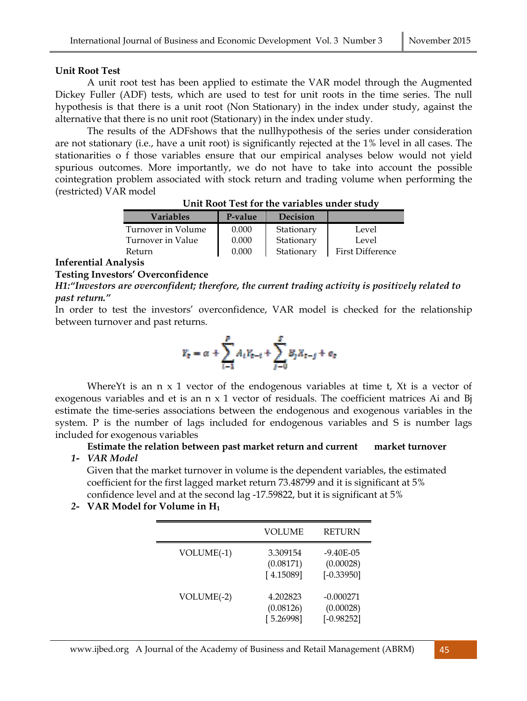#### **Unit Root Test**

A unit root test has been applied to estimate the VAR model through the Augmented Dickey Fuller (ADF) tests, which are used to test for unit roots in the time series. The null hypothesis is that there is a unit root (Non Stationary) in the index under study, against the alternative that there is no unit root (Stationary) in the index under study.

The results of the ADFshows that the nullhypothesis of the series under consideration are not stationary (i.e., have a unit root) is significantly rejected at the 1% level in all cases. The stationarities o f those variables ensure that our empirical analyses below would not yield spurious outcomes. More importantly, we do not have to take into account the possible cointegration problem associated with stock return and trading volume when performing the (restricted) VAR model

| <b>Variables</b>   | P-value | <b>Decision</b> |                         |
|--------------------|---------|-----------------|-------------------------|
| Turnover in Volume | 0.000   | Stationary      | Level                   |
| Turnover in Value  | 0.000   | Stationary      | Level                   |
| Return             | 0.000   | Stationary      | <b>First Difference</b> |
|                    |         |                 |                         |

| Unit Root Test for the variables under study |
|----------------------------------------------|
|----------------------------------------------|

#### **Inferential Analysis**

#### **Testing Investors' Overconfidence**

*H1:"Investors are overconfident; therefore, the current trading activity is positively related to past return."* 

In order to test the investors' overconfidence, VAR model is checked for the relationship between turnover and past returns.

$$
Y_{\mathbf{c}}=\alpha+\sum_{i=1}^pA_iY_{\mathbf{c}-i}+\sum_{j=0}^pB_jX_{\mathbf{c}-j}+\mathbf{e}_{\mathbf{c}}
$$

Where Yt is an  $n \times 1$  vector of the endogenous variables at time t, Xt is a vector of exogenous variables and et is an  $n \times 1$  vector of residuals. The coefficient matrices Ai and B estimate the time-series associations between the endogenous and exogenous variables in the system. P is the number of lags included for endogenous variables and S is number lags included for exogenous variables

 **Estimate the relation between past market return and current market turnover** 

*1- VAR Model* 

Given that the market turnover in volume is the dependent variables, the estimated coefficient for the first lagged market return 73.48799 and it is significant at 5% confidence level and at the second lag -17.59822, but it is significant at 5%

*2-* **VAR Model for Volume in H<sup>1</sup>**

|            | VOLUME                             | <b>RETURN</b>                              |
|------------|------------------------------------|--------------------------------------------|
| VOLUME(-1) | 3.309154<br>(0.08171)<br>[4.15089] | $-9.40E - 05$<br>(0.00028)<br>$[-0.33950]$ |
| VOLUME(-2) | 4.202823<br>(0.08126)<br>[5.26998] | $-0.000271$<br>(0.00028)<br>$[-0.98252]$   |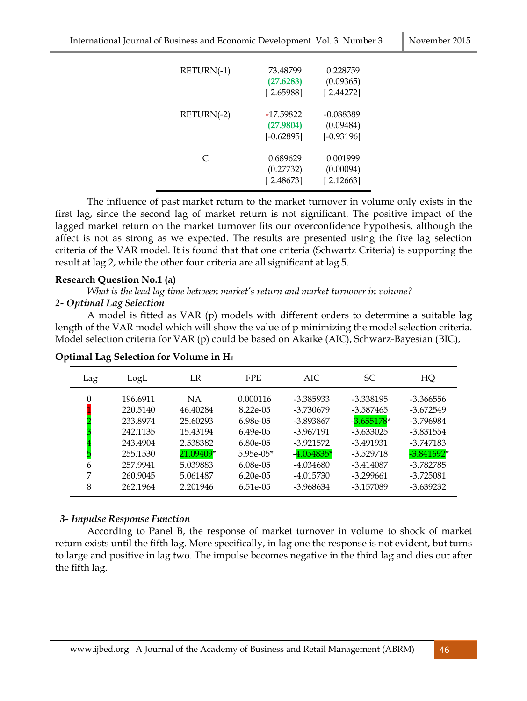| RETURN(-1) | 73.48799<br>(27.6283)<br>[2.65988]       | 0.228759<br>(0.09365)<br>[2.44272]     |
|------------|------------------------------------------|----------------------------------------|
| RETURN(-2) | $-17.59822$<br>(27.9804)<br>$[-0.62895]$ | -0.088389<br>(0.09484)<br>$[-0.93196]$ |
| $\subset$  | 0.689629<br>(0.27732)<br>[2.48673]       | 0.001999<br>(0.00094)<br>[2.12663]     |

 The influence of past market return to the market turnover in volume only exists in the first lag, since the second lag of market return is not significant. The positive impact of the lagged market return on the market turnover fits our overconfidence hypothesis, although the affect is not as strong as we expected. The results are presented using the five lag selection criteria of the VAR model. It is found that that one criteria (Schwartz Criteria) is supporting the result at lag 2, while the other four criteria are all significant at lag 5.

#### **Research Question No.1 (a)**

 *What is the lead lag time between market's return and market turnover in volume?* 

#### *2- Optimal Lag Selection*

A model is fitted as VAR (p) models with different orders to determine a suitable lag length of the VAR model which will show the value of p minimizing the model selection criteria. Model selection criteria for VAR (p) could be based on Akaike (AIC), Schwarz-Bayesian (BIC),

| Lag         | LogL                                                                                                     | LR                                                                                                         | <b>FPE</b>                                                                                                                 | AIC                                                                                                                        | <b>SC</b>                                                                                                                      | HQ                                                                                                                             |
|-------------|----------------------------------------------------------------------------------------------------------|------------------------------------------------------------------------------------------------------------|----------------------------------------------------------------------------------------------------------------------------|----------------------------------------------------------------------------------------------------------------------------|--------------------------------------------------------------------------------------------------------------------------------|--------------------------------------------------------------------------------------------------------------------------------|
| 6<br>7<br>8 | 196.6911<br>220.5140<br>233.8974<br>242.1135<br>243.4904<br>255.1530<br>257.9941<br>260.9045<br>262.1964 | <b>NA</b><br>46.40284<br>25.60293<br>15.43194<br>2.538382<br>21.09409*<br>5.039883<br>5.061487<br>2.201946 | 0.000116<br>$8.22e - 05$<br>6.98e-05<br>$6.49e-05$<br>$6.80e-05$<br>$5.95e-05*$<br>$6.08e-05$<br>$6.20e-05$<br>$6.51e-0.5$ | -3.385933<br>-3.730679<br>-3.893867<br>-3.967191<br>$-3.921572$<br>$-4.054835*$<br>$-4.034680$<br>-4.015730<br>$-3.968634$ | -3.338195<br>$-3.587465$<br>$-3.655178*$<br>$-3.633025$<br>-3.491931<br>$-3.529718$<br>$-3.414087$<br>$-3.299661$<br>-3.157089 | -3.366556<br>$-3.672549$<br>-3.796984<br>-3.831554<br>$-3.747183$<br>$-3.841692*$<br>$-3.782785$<br>$-3.725081$<br>$-3.639232$ |

#### **Optimal Lag Selection for Volume in H<sup>1</sup>**

#### *3- Impulse Response Function*

 According to Panel B, the response of market turnover in volume to shock of market return exists until the fifth lag. More specifically, in lag one the response is not evident, but turns to large and positive in lag two. The impulse becomes negative in the third lag and dies out after the fifth lag.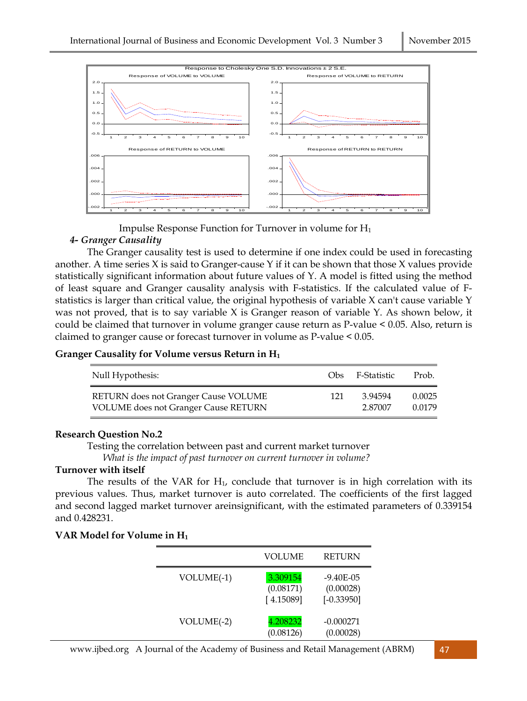

Impulse Response Function for Turnover in volume for H<sup>1</sup>

### *4- Granger Causality*

The Granger causality test is used to determine if one index could be used in forecasting another. A time series  $X$  is said to Granger-cause  $Y$  if it can be shown that those  $X$  values provide statistically significant information about future values of Y. A model is fitted using the method of least square and Granger causality analysis with F-statistics. If the calculated value of Fstatistics is larger than critical value, the original hypothesis of variable X can't cause variable Y was not proved, that is to say variable X is Granger reason of variable Y. As shown below, it could be claimed that turnover in volume granger cause return as P-value < 0.05. Also, return is claimed to granger cause or forecast turnover in volume as P-value < 0.05.

### **Granger Causality for Volume versus Return in H<sup>1</sup>**

| Null Hypothesis:                            | Obs. | F-Statistic | Prob.  |
|---------------------------------------------|------|-------------|--------|
| RETURN does not Granger Cause VOLUME        | 121  | 3.94594     | 0.0025 |
| <b>VOLUME</b> does not Granger Cause RETURN |      | 2.87007     | 0.0179 |

### **Research Question No.2**

Testing the correlation between past and current market turnover

*What is the impact of past turnover on current turnover in volume?* 

### **Turnover with itself**

The results of the VAR for  $H_1$ , conclude that turnover is in high correlation with its previous values. Thus, market turnover is auto correlated. The coefficients of the first lagged and second lagged market turnover areinsignificant, with the estimated parameters of 0.339154 and 0.428231.

#### **VAR Model for Volume in H<sup>1</sup>**

|              | <b>VOLUME</b>                      | <b>RETURN</b>                              |
|--------------|------------------------------------|--------------------------------------------|
| $VOLUME(-1)$ | 3.309154<br>(0.08171)<br>[4.15089] | $-9.40E - 05$<br>(0.00028)<br>$[-0.33950]$ |
| VOLUME(-2)   | 4.208232<br>(0.08126)              | $-0.000271$<br>(0.00028)                   |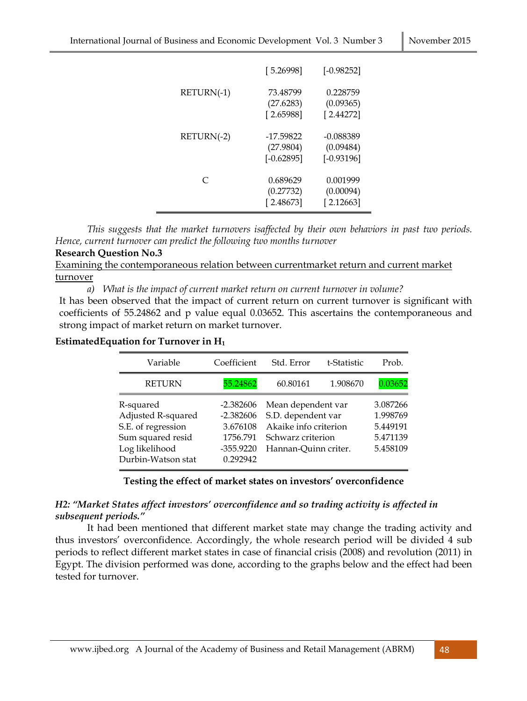|            | [5.26998]                              | $[-0.98252]$                           |
|------------|----------------------------------------|----------------------------------------|
| RETURN(-1) | 73.48799<br>(27.6283)<br>[2.65988]     | 0.228759<br>(0.09365)<br>[2.44272]     |
| RETURN(-2) | -17.59822<br>(27.9804)<br>$[-0.62895]$ | -0.088389<br>(0.09484)<br>$[-0.93196]$ |
| $\subset$  | 0.689629<br>(0.27732)<br>[2.48673]     | 0.001999<br>(0.00094)<br>[2.12663]     |

 *This suggests that the market turnovers isaffected by their own behaviors in past two periods. Hence, current turnover can predict the following two months turnover* 

#### **Research Question No.3**

Examining the contemporaneous relation between currentmarket return and current market turnover

*a) What is the impact of current market return on current turnover in volume?* 

It has been observed that the impact of current return on current turnover is significant with coefficients of 55.24862 and p value equal 0.03652. This ascertains the contemporaneous and strong impact of market return on market turnover.

#### **EstimatedEquation for Turnover in H<sup>1</sup>**

| Variable                                                                                                           | Coefficient                                                                   | Std. Error                                                                                                     | t-Statistic | Prob.                                                    |
|--------------------------------------------------------------------------------------------------------------------|-------------------------------------------------------------------------------|----------------------------------------------------------------------------------------------------------------|-------------|----------------------------------------------------------|
| <b>RETURN</b>                                                                                                      | 55.24862                                                                      | 60.80161                                                                                                       | 1.908670    | 0.03652                                                  |
| R-squared<br>Adjusted R-squared<br>S.E. of regression<br>Sum squared resid<br>Log likelihood<br>Durbin-Watson stat | $-2.382606$<br>$-2.382606$<br>3.676108<br>1756.791<br>$-355.9220$<br>0.292942 | Mean dependent var<br>S.D. dependent var<br>Akaike info criterion<br>Schwarz criterion<br>Hannan-Quinn criter. |             | 3.087266<br>1.998769<br>5.449191<br>5.471139<br>5.458109 |

#### **Testing the effect of market states on investors' overconfidence**

### *H2: "Market States affect investors' overconfidence and so trading activity is affected in subsequent periods."*

It had been mentioned that different market state may change the trading activity and thus investors' overconfidence. Accordingly, the whole research period will be divided 4 sub periods to reflect different market states in case of financial crisis (2008) and revolution (2011) in Egypt. The division performed was done, according to the graphs below and the effect had been tested for turnover.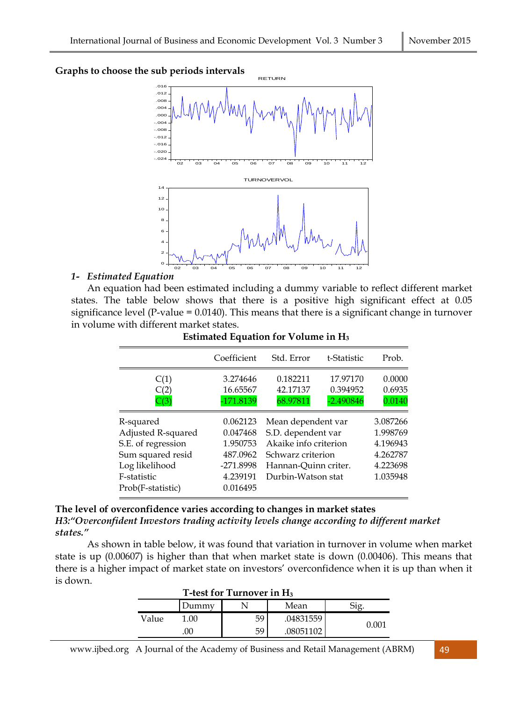#### **Graphs to choose the sub periods intervals**



RETURN

### *1- Estimated Equation*

An equation had been estimated including a dummy variable to reflect different market states. The table below shows that there is a positive high significant effect at 0.05 significance level (P-value = 0.0140). This means that there is a significant change in turnover in volume with different market states.

|                                                                                                                                  | Coefficient                                                                       | Std. Error                                                                                                                           | t-Statistic                         | Prob.                                                                |
|----------------------------------------------------------------------------------------------------------------------------------|-----------------------------------------------------------------------------------|--------------------------------------------------------------------------------------------------------------------------------------|-------------------------------------|----------------------------------------------------------------------|
| C(1)<br>C(2)<br>C(3)                                                                                                             | 3.274646<br>16.65567<br>-171.8139                                                 | 0.182211<br>42.17137<br>68.97811                                                                                                     | 17.97170<br>0.394952<br>$-2.490846$ | 0.0000<br>0.6935<br>0.0140                                           |
| R-squared<br>Adjusted R-squared<br>S.E. of regression<br>Sum squared resid<br>Log likelihood<br>F-statistic<br>Prob(F-statistic) | 0.062123<br>0.047468<br>1.950753<br>487.0962<br>-271.8998<br>4.239191<br>0.016495 | Mean dependent var<br>S.D. dependent var<br>Akaike info criterion<br>Schwarz criterion<br>Hannan-Quinn criter.<br>Durbin-Watson stat |                                     | 3.087266<br>1.998769<br>4.196943<br>4.262787<br>4.223698<br>1.035948 |

#### **Estimated Equation for Volume in H<sup>3</sup>**

**The level of overconfidence varies according to changes in market states**  *H3:"Overconfident Investors trading activity levels change according to different market states."* 

As shown in table below, it was found that variation in turnover in volume when market state is up (0.00607) is higher than that when market state is down (0.00406). This means that there is a higher impact of market state on investors' overconfidence when it is up than when it is down.

| T-test for Turnover in H <sub>3</sub> |       |    |           |       |
|---------------------------------------|-------|----|-----------|-------|
|                                       | Jummv |    | Mean      |       |
| Value                                 | 1.00  | 59 | .04831559 | 0.001 |
|                                       |       | 59 | 08051102  |       |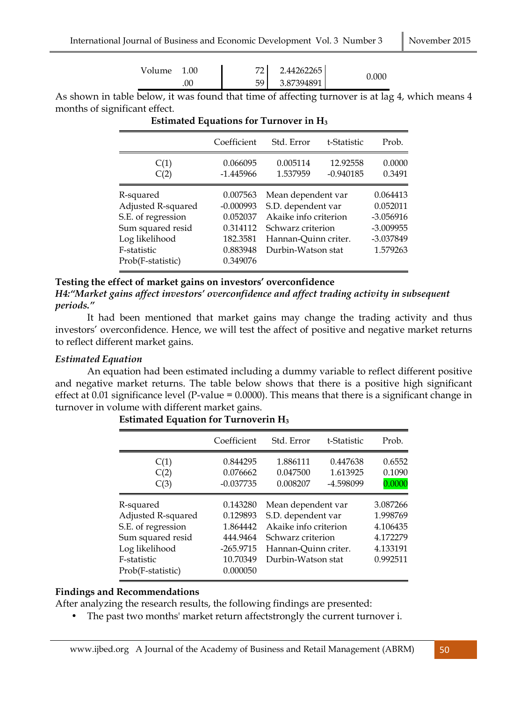| Volume 1.00 | 72   | 2.44262265 |       |
|-------------|------|------------|-------|
| 0C          | 59 L | 3.87394891 | 0.000 |

As shown in table below, it was found that time of affecting turnover is at lag 4, which means 4 months of significant effect.

|                                                                                                                                  | Coefficient                                                                         | Std. Error                                                                                                                           | t-Statistic             | Prob.                                                                       |
|----------------------------------------------------------------------------------------------------------------------------------|-------------------------------------------------------------------------------------|--------------------------------------------------------------------------------------------------------------------------------------|-------------------------|-----------------------------------------------------------------------------|
| C(1)<br>C(2)                                                                                                                     | 0.066095<br>$-1.445966$                                                             | 0.005114<br>1.537959                                                                                                                 | 12.92558<br>$-0.940185$ | 0.0000<br>0.3491                                                            |
| R-squared<br>Adjusted R-squared<br>S.E. of regression<br>Sum squared resid<br>Log likelihood<br>F-statistic<br>Prob(F-statistic) | 0.007563<br>$-0.000993$<br>0.052037<br>0.314112<br>182.3581<br>0.883948<br>0.349076 | Mean dependent var<br>S.D. dependent var<br>Akaike info criterion<br>Schwarz criterion<br>Hannan-Quinn criter.<br>Durbin-Watson stat |                         | 0.064413<br>0.052011<br>$-3.056916$<br>$-3.009955$<br>-3.037849<br>1.579263 |

### **Estimated Equations for Turnover in H<sup>3</sup>**

# **Testing the effect of market gains on investors' overconfidence**

*H4:"Market gains affect investors' overconfidence and affect trading activity in subsequent periods."* 

 It had been mentioned that market gains may change the trading activity and thus investors' overconfidence. Hence, we will test the affect of positive and negative market returns to reflect different market gains.

### *Estimated Equation*

An equation had been estimated including a dummy variable to reflect different positive and negative market returns. The table below shows that there is a positive high significant effect at 0.01 significance level (P-value = 0.0000). This means that there is a significant change in turnover in volume with different market gains.

|                                                                                                                                  | Coefficient                                                                         | Std. Error                                                                                                                           | t-Statistic                       | Prob.                                                                |
|----------------------------------------------------------------------------------------------------------------------------------|-------------------------------------------------------------------------------------|--------------------------------------------------------------------------------------------------------------------------------------|-----------------------------------|----------------------------------------------------------------------|
| C(1)<br>C(2)<br>C(3)                                                                                                             | 0.844295<br>0.076662<br>$-0.037735$                                                 | 1.886111<br>0.047500<br>0.008207                                                                                                     | 0.447638<br>1.613925<br>-4.598099 | 0.6552<br>0.1090<br>0.0000                                           |
| R-squared<br>Adjusted R-squared<br>S.E. of regression<br>Sum squared resid<br>Log likelihood<br>F-statistic<br>Prob(F-statistic) | 0.143280<br>0.129893<br>1.864442<br>444.9464<br>$-265.9715$<br>10.70349<br>0.000050 | Mean dependent var<br>S.D. dependent var<br>Akaike info criterion<br>Schwarz criterion<br>Hannan-Quinn criter.<br>Durbin-Watson stat |                                   | 3.087266<br>1.998769<br>4.106435<br>4.172279<br>4.133191<br>0.992511 |

### **Estimated Equation for Turnoverin H<sup>3</sup>**

### **Findings and Recommendations**

After analyzing the research results, the following findings are presented:

• The past two months' market return affectstrongly the current turnover i.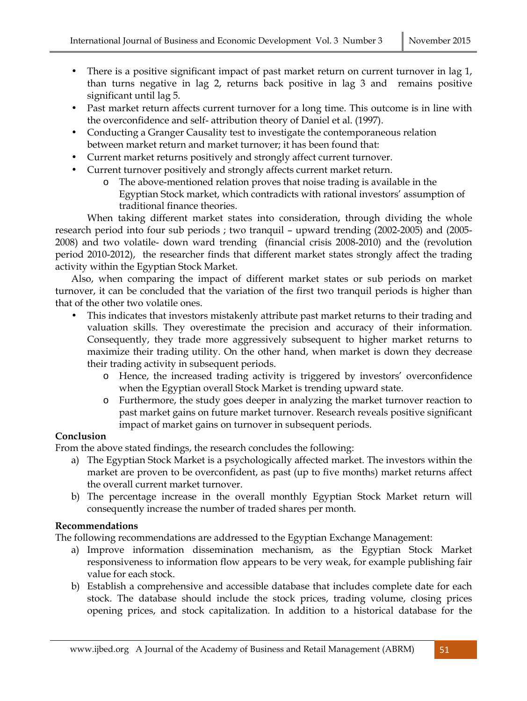- There is a positive significant impact of past market return on current turnover in lag 1, than turns negative in lag 2, returns back positive in lag 3 and remains positive significant until lag 5.
- Past market return affects current turnover for a long time. This outcome is in line with the overconfidence and self- attribution theory of Daniel et al. (1997).
- Conducting a Granger Causality test to investigate the contemporaneous relation between market return and market turnover; it has been found that:
- Current market returns positively and strongly affect current turnover.
- Current turnover positively and strongly affects current market return.
	- o The above-mentioned relation proves that noise trading is available in the Egyptian Stock market, which contradicts with rational investors' assumption of traditional finance theories.

When taking different market states into consideration, through dividing the whole research period into four sub periods ; two tranquil – upward trending (2002-2005) and (2005- 2008) and two volatile- down ward trending (financial crisis 2008-2010) and the (revolution period 2010-2012), the researcher finds that different market states strongly affect the trading activity within the Egyptian Stock Market.

Also, when comparing the impact of different market states or sub periods on market turnover, it can be concluded that the variation of the first two tranquil periods is higher than that of the other two volatile ones.

- This indicates that investors mistakenly attribute past market returns to their trading and valuation skills. They overestimate the precision and accuracy of their information. Consequently, they trade more aggressively subsequent to higher market returns to maximize their trading utility. On the other hand, when market is down they decrease their trading activity in subsequent periods.
	- o Hence, the increased trading activity is triggered by investors' overconfidence when the Egyptian overall Stock Market is trending upward state.
	- o Furthermore, the study goes deeper in analyzing the market turnover reaction to past market gains on future market turnover. Research reveals positive significant impact of market gains on turnover in subsequent periods.

# **Conclusion**

From the above stated findings, the research concludes the following:

- a) The Egyptian Stock Market is a psychologically affected market. The investors within the market are proven to be overconfident, as past (up to five months) market returns affect the overall current market turnover.
- b) The percentage increase in the overall monthly Egyptian Stock Market return will consequently increase the number of traded shares per month.

# **Recommendations**

The following recommendations are addressed to the Egyptian Exchange Management:

- a) Improve information dissemination mechanism, as the Egyptian Stock Market responsiveness to information flow appears to be very weak, for example publishing fair value for each stock.
- b) Establish a comprehensive and accessible database that includes complete date for each stock. The database should include the stock prices, trading volume, closing prices opening prices, and stock capitalization. In addition to a historical database for the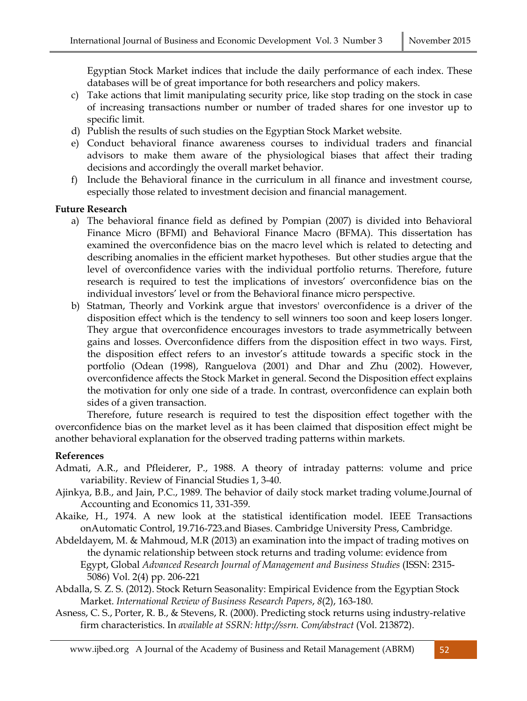Egyptian Stock Market indices that include the daily performance of each index. These databases will be of great importance for both researchers and policy makers.

- c) Take actions that limit manipulating security price, like stop trading on the stock in case of increasing transactions number or number of traded shares for one investor up to specific limit.
- d) Publish the results of such studies on the Egyptian Stock Market website.
- e) Conduct behavioral finance awareness courses to individual traders and financial advisors to make them aware of the physiological biases that affect their trading decisions and accordingly the overall market behavior.
- f) Include the Behavioral finance in the curriculum in all finance and investment course, especially those related to investment decision and financial management.

### **Future Research**

- a) The behavioral finance field as defined by Pompian (2007) is divided into Behavioral Finance Micro (BFMI) and Behavioral Finance Macro (BFMA). This dissertation has examined the overconfidence bias on the macro level which is related to detecting and describing anomalies in the efficient market hypotheses. But other studies argue that the level of overconfidence varies with the individual portfolio returns. Therefore, future research is required to test the implications of investors' overconfidence bias on the individual investors' level or from the Behavioral finance micro perspective.
- b) Statman, Theorly and Vorkink argue that investors' overconfidence is a driver of the disposition effect which is the tendency to sell winners too soon and keep losers longer. They argue that overconfidence encourages investors to trade asymmetrically between gains and losses. Overconfidence differs from the disposition effect in two ways. First, the disposition effect refers to an investor's attitude towards a specific stock in the portfolio (Odean (1998), Ranguelova (2001) and Dhar and Zhu (2002). However, overconfidence affects the Stock Market in general. Second the Disposition effect explains the motivation for only one side of a trade. In contrast, overconfidence can explain both sides of a given transaction.

 Therefore, future research is required to test the disposition effect together with the overconfidence bias on the market level as it has been claimed that disposition effect might be another behavioral explanation for the observed trading patterns within markets.

#### **References**

- Admati, A.R., and Pfleiderer, P., 1988. A theory of intraday patterns: volume and price variability. Review of Financial Studies 1, 3-40.
- Ajinkya, B.B., and Jain, P.C., 1989. The behavior of daily stock market trading volume.Journal of Accounting and Economics 11, 331-359.
- Akaike, H., 1974. A new look at the statistical identification model. IEEE Transactions onAutomatic Control, 19.716-723.and Biases. Cambridge University Press, Cambridge.
- Abdeldayem, M. & Mahmoud, M.R (2013) an examination into the impact of trading motives on the dynamic relationship between stock returns and trading volume: evidence from Egypt, Global *Advanced Research Journal of Management and Business Studies* (ISSN: 2315- 5086) Vol. 2(4) pp. 206-221
- Abdalla, S. Z. S. (2012). Stock Return Seasonality: Empirical Evidence from the Egyptian Stock Market. *International Review of Business Research Papers*, *8*(2), 163-180.
- Asness, C. S., Porter, R. B., & Stevens, R. (2000). Predicting stock returns using industry-relative firm characteristics. In *available at SSRN: http://ssrn. Com/abstract* (Vol. 213872).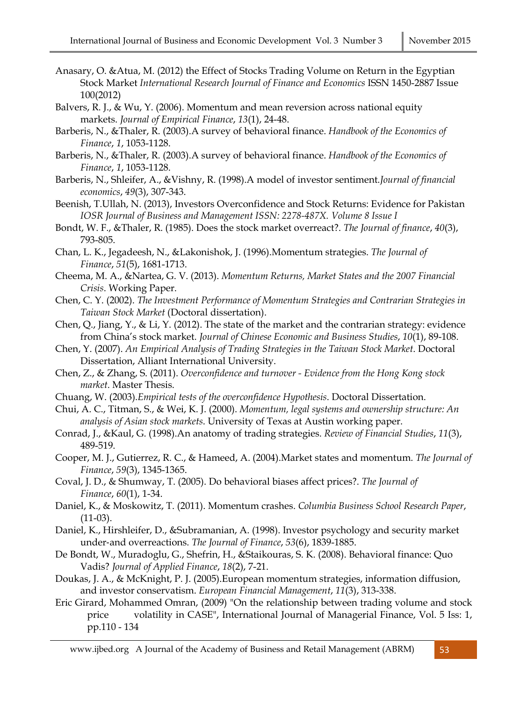- Anasary, O. &Atua, M. (2012) the Effect of Stocks Trading Volume on Return in the Egyptian Stock Market *International Research Journal of Finance and Economics* ISSN 1450-2887 Issue 100(2012)
- Balvers, R. J., & Wu, Y. (2006). Momentum and mean reversion across national equity markets. *Journal of Empirical Finance*, *13*(1), 24-48.
- Barberis, N., &Thaler, R. (2003).A survey of behavioral finance. *Handbook of the Economics of Finance*, *1*, 1053-1128.
- Barberis, N., &Thaler, R. (2003).A survey of behavioral finance. *Handbook of the Economics of Finance*, *1*, 1053-1128.
- Barberis, N., Shleifer, A., &Vishny, R. (1998).A model of investor sentiment.*Journal of financial economics*, *49*(3), 307-343.
- Beenish, T.Ullah, N. (2013), Investors Overconfidence and Stock Returns: Evidence for Pakistan *IOSR Journal of Business and Management ISSN: 2278-487X. Volume 8 Issue I*
- Bondt, W. F., &Thaler, R. (1985). Does the stock market overreact?. *The Journal of finance*, *40*(3), 793-805.
- Chan, L. K., Jegadeesh, N., &Lakonishok, J. (1996).Momentum strategies. *The Journal of Finance*, *51*(5), 1681-1713.
- Cheema, M. A., &Nartea, G. V. (2013). *Momentum Returns, Market States and the 2007 Financial Crisis*. Working Paper.
- Chen, C. Y. (2002). *The Investment Performance of Momentum Strategies and Contrarian Strategies in Taiwan Stock Market* (Doctoral dissertation).
- Chen, Q., Jiang, Y., & Li, Y. (2012). The state of the market and the contrarian strategy: evidence from China's stock market. *Journal of Chinese Economic and Business Studies*, *10*(1), 89-108.
- Chen, Y. (2007). *An Empirical Analysis of Trading Strategies in the Taiwan Stock Market*. Doctoral Dissertation, Alliant International University.
- Chen, Z., & Zhang, S. (2011). *Overconfidence and turnover Evidence from the Hong Kong stock market*. Master Thesis.
- Chuang, W. (2003).*Empirical tests of the overconfidence Hypothesis*. Doctoral Dissertation.
- Chui, A. C., Titman, S., & Wei, K. J. (2000). *Momentum, legal systems and ownership structure: An analysis of Asian stock markets*. University of Texas at Austin working paper.
- Conrad, J., &Kaul, G. (1998).An anatomy of trading strategies. *Review of Financial Studies*, *11*(3), 489-519.
- Cooper, M. J., Gutierrez, R. C., & Hameed, A. (2004).Market states and momentum. *The Journal of Finance*, *59*(3), 1345-1365.
- Coval, J. D., & Shumway, T. (2005). Do behavioral biases affect prices?. *The Journal of Finance*, *60*(1), 1-34.
- Daniel, K., & Moskowitz, T. (2011). Momentum crashes. *Columbia Business School Research Paper*, (11-03).
- Daniel, K., Hirshleifer, D., &Subramanian, A. (1998). Investor psychology and security market under‐and overreactions. *The Journal of Finance*, *53*(6), 1839-1885.
- De Bondt, W., Muradoglu, G., Shefrin, H., &Staikouras, S. K. (2008). Behavioral finance: Quo Vadis? *Journal of Applied Finance*, *18*(2), 7-21.
- Doukas, J. A., & McKnight, P. J. (2005).European momentum strategies, information diffusion, and investor conservatism. *European Financial Management*, *11*(3), 313-338.
- Eric Girard, Mohammed Omran, (2009) "On the relationship between trading volume and stock price volatility in CASE", International Journal of Managerial Finance, Vol. 5 Iss: 1, pp.110 - 134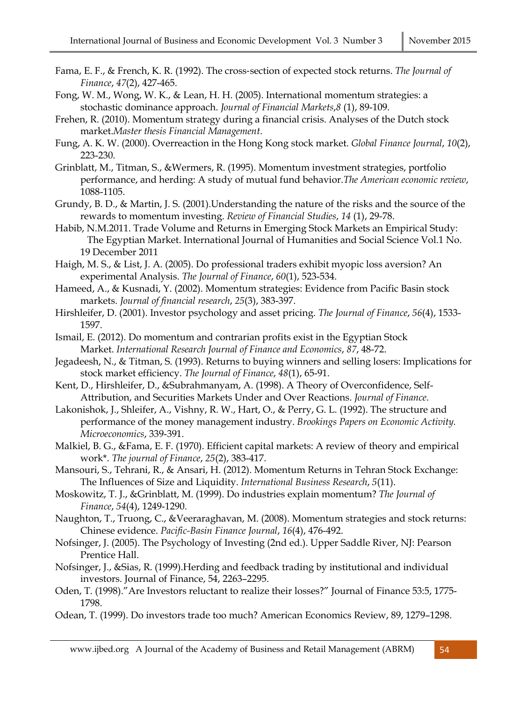- Fama, E. F., & French, K. R. (1992). The cross‐section of expected stock returns. *The Journal of Finance*, *47*(2), 427-465.
- Fong, W. M., Wong, W. K., & Lean, H. H. (2005). International momentum strategies: a stochastic dominance approach. *Journal of Financial Markets*,*8* (1), 89-109.
- Frehen, R. (2010). Momentum strategy during a financial crisis. Analyses of the Dutch stock market.*Master thesis Financial Management*.
- Fung, A. K. W. (2000). Overreaction in the Hong Kong stock market. *Global Finance Journal*, *10*(2), 223-230.
- Grinblatt, M., Titman, S., &Wermers, R. (1995). Momentum investment strategies, portfolio performance, and herding: A study of mutual fund behavior.*The American economic review*, 1088-1105.
- Grundy, B. D., & Martin, J. S. (2001).Understanding the nature of the risks and the source of the rewards to momentum investing. *Review of Financial Studies*, *14* (1), 29-78.
- Habib, N.M.2011. Trade Volume and Returns in Emerging Stock Markets an Empirical Study: The Egyptian Market. International Journal of Humanities and Social Science Vol.1 No. 19 December 2011
- Haigh, M. S., & List, J. A. (2005). Do professional traders exhibit myopic loss aversion? An experimental Analysis. *The Journal of Finance*, *60*(1), 523-534.
- Hameed, A., & Kusnadi, Y. (2002). Momentum strategies: Evidence from Pacific Basin stock markets. *Journal of financial research*, *25*(3), 383-397.
- Hirshleifer, D. (2001). Investor psychology and asset pricing. *The Journal of Finance*, *56*(4), 1533- 1597.
- Ismail, E. (2012). Do momentum and contrarian profits exist in the Egyptian Stock Market. *International Research Journal of Finance and Economics*, *87*, 48-72.
- Jegadeesh, N., & Titman, S. (1993). Returns to buying winners and selling losers: Implications for stock market efficiency. *The Journal of Finance*, *48*(1), 65-91.
- Kent, D., Hirshleifer, D., &Subrahmanyam, A. (1998). A Theory of Overconfidence, Self-Attribution, and Securities Markets Under and Over Reactions. *Journal of Finance*.
- Lakonishok, J., Shleifer, A., Vishny, R. W., Hart, O., & Perry, G. L. (1992). The structure and performance of the money management industry. *Brookings Papers on Economic Activity. Microeconomics*, 339-391.
- Malkiel, B. G., &Fama, E. F. (1970). Efficient capital markets: A review of theory and empirical work\*. *The journal of Finance*, *25*(2), 383-417.
- Mansouri, S., Tehrani, R., & Ansari, H. (2012). Momentum Returns in Tehran Stock Exchange: The Influences of Size and Liquidity. *International Business Research*, *5*(11).
- Moskowitz, T. J., &Grinblatt, M. (1999). Do industries explain momentum? *The Journal of Finance*, *54*(4), 1249-1290.
- Naughton, T., Truong, C., &Veeraraghavan, M. (2008). Momentum strategies and stock returns: Chinese evidence. *Pacific-Basin Finance Journal*, *16*(4), 476-492.
- Nofsinger, J. (2005). The Psychology of Investing (2nd ed.). Upper Saddle River, NJ: Pearson Prentice Hall.
- Nofsinger, J., &Sias, R. (1999).Herding and feedback trading by institutional and individual investors. Journal of Finance, 54, 2263–2295.
- Oden, T. (1998)."Are Investors reluctant to realize their losses?" Journal of Finance 53:5, 1775- 1798.
- Odean, T. (1999). Do investors trade too much? American Economics Review, 89, 1279–1298.